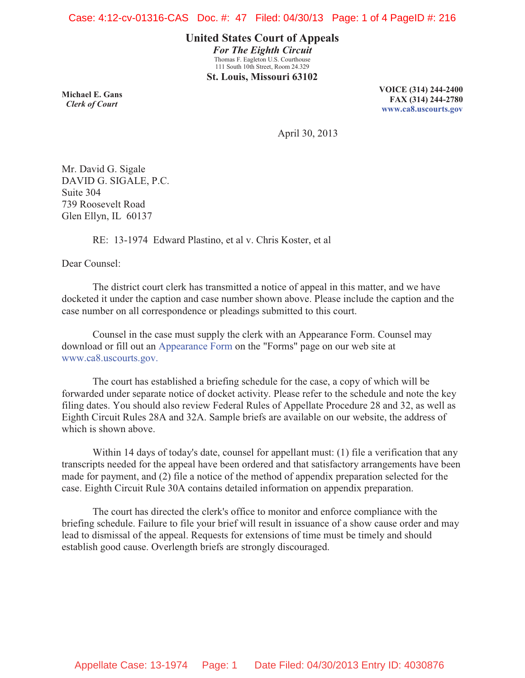**United States Court of Appeals** *For The Eighth Circuit* Thomas F. Eagleton U.S. Courthouse 111 South 10th Street, Room 24.329 **St. Louis, Missouri 63102**

**Michael E. Gans**  *Clerk of Court*

**VOICE (314) 244-2400 FAX (314) 244-2780 www.ca8.uscourts.gov**

April 30, 2013

Mr. David G. Sigale DAVID G. SIGALE, P.C. Suite 304 739 Roosevelt Road Glen Ellyn, IL 60137

RE: 13-1974 Edward Plastino, et al v. Chris Koster, et al

Dear Counsel:

 The district court clerk has transmitted a notice of appeal in this matter, and we have docketed it under the caption and case number shown above. Please include the caption and the case number on all correspondence or pleadings submitted to this court.

 Counsel in the case must supply the clerk with an Appearance Form. Counsel may download or fill out an Appearance Form on the "Forms" page on our web site at www.ca8.uscourts.gov.

 The court has established a briefing schedule for the case, a copy of which will be forwarded under separate notice of docket activity. Please refer to the schedule and note the key filing dates. You should also review Federal Rules of Appellate Procedure 28 and 32, as well as Eighth Circuit Rules 28A and 32A. Sample briefs are available on our website, the address of which is shown above.

 Within 14 days of today's date, counsel for appellant must: (1) file a verification that any transcripts needed for the appeal have been ordered and that satisfactory arrangements have been made for payment, and (2) file a notice of the method of appendix preparation selected for the case. Eighth Circuit Rule 30A contains detailed information on appendix preparation.

 The court has directed the clerk's office to monitor and enforce compliance with the briefing schedule. Failure to file your brief will result in issuance of a show cause order and may lead to dismissal of the appeal. Requests for extensions of time must be timely and should establish good cause. Overlength briefs are strongly discouraged.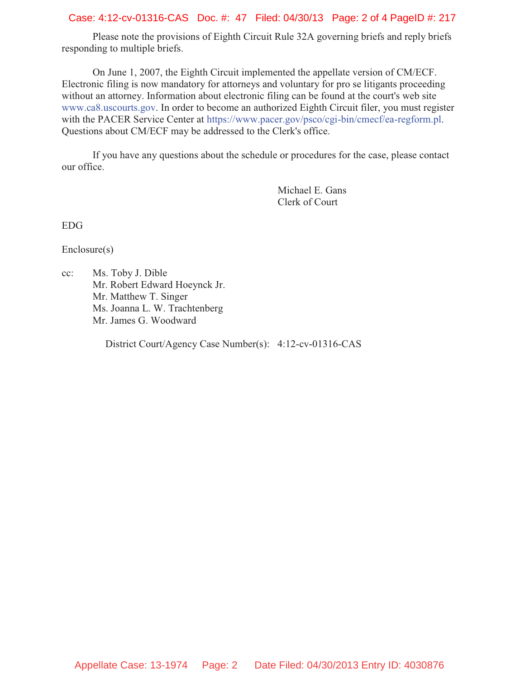### Case: 4:12-cv-01316-CAS Doc. #: 47 Filed: 04/30/13 Page: 2 of 4 PageID #: 217

 Please note the provisions of Eighth Circuit Rule 32A governing briefs and reply briefs responding to multiple briefs.

 On June 1, 2007, the Eighth Circuit implemented the appellate version of CM/ECF. Electronic filing is now mandatory for attorneys and voluntary for pro se litigants proceeding without an attorney. Information about electronic filing can be found at the court's web site www.ca8.uscourts.gov. In order to become an authorized Eighth Circuit filer, you must register with the PACER Service Center at https://www.pacer.gov/psco/cgi-bin/cmecf/ea-regform.pl. Questions about CM/ECF may be addressed to the Clerk's office.

 If you have any questions about the schedule or procedures for the case, please contact our office.

> Michael E. Gans Clerk of Court

EDG

Enclosure(s)

cc: Ms. Toby J. Dible Mr. Robert Edward Hoeynck Jr. Mr. Matthew T. Singer Ms. Joanna L. W. Trachtenberg Mr. James G. Woodward

District Court/Agency Case Number(s): 4:12-cv-01316-CAS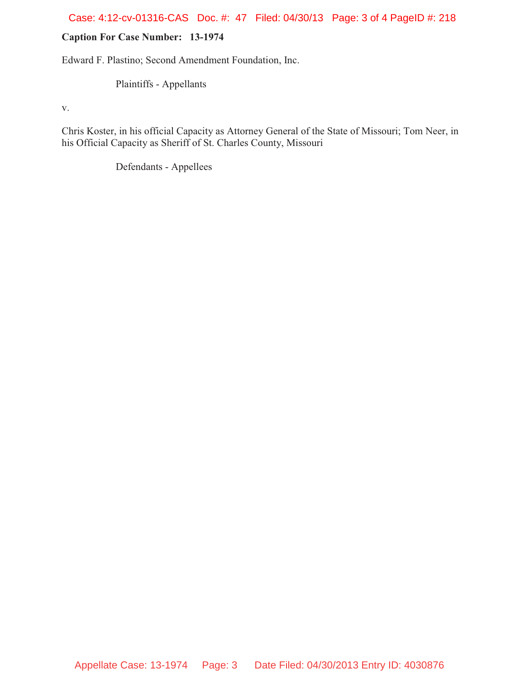## Case: 4:12-cv-01316-CAS Doc. #: 47 Filed: 04/30/13 Page: 3 of 4 PageID #: 218

# **Caption For Case Number: 13-1974**

Edward F. Plastino; Second Amendment Foundation, Inc.

Plaintiffs - Appellants

v.

Chris Koster, in his official Capacity as Attorney General of the State of Missouri; Tom Neer, in his Official Capacity as Sheriff of St. Charles County, Missouri

Defendants - Appellees